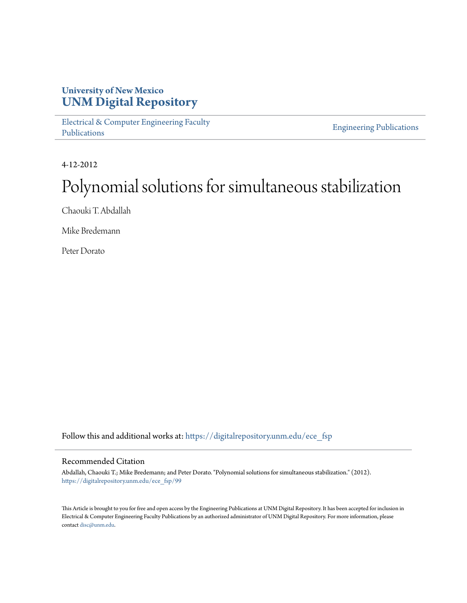## **University of New Mexico [UNM Digital Repository](https://digitalrepository.unm.edu?utm_source=digitalrepository.unm.edu%2Fece_fsp%2F99&utm_medium=PDF&utm_campaign=PDFCoverPages)**

[Electrical & Computer Engineering Faculty](https://digitalrepository.unm.edu/ece_fsp?utm_source=digitalrepository.unm.edu%2Fece_fsp%2F99&utm_medium=PDF&utm_campaign=PDFCoverPages) [Publications](https://digitalrepository.unm.edu/ece_fsp?utm_source=digitalrepository.unm.edu%2Fece_fsp%2F99&utm_medium=PDF&utm_campaign=PDFCoverPages)

[Engineering Publications](https://digitalrepository.unm.edu/eng_fsp?utm_source=digitalrepository.unm.edu%2Fece_fsp%2F99&utm_medium=PDF&utm_campaign=PDFCoverPages)

4-12-2012

# Polynomial solutions for simultaneous stabilization

Chaouki T. Abdallah

Mike Bredemann

Peter Dorato

Follow this and additional works at: [https://digitalrepository.unm.edu/ece\\_fsp](https://digitalrepository.unm.edu/ece_fsp?utm_source=digitalrepository.unm.edu%2Fece_fsp%2F99&utm_medium=PDF&utm_campaign=PDFCoverPages)

## Recommended Citation

Abdallah, Chaouki T.; Mike Bredemann; and Peter Dorato. "Polynomial solutions for simultaneous stabilization." (2012). [https://digitalrepository.unm.edu/ece\\_fsp/99](https://digitalrepository.unm.edu/ece_fsp/99?utm_source=digitalrepository.unm.edu%2Fece_fsp%2F99&utm_medium=PDF&utm_campaign=PDFCoverPages)

This Article is brought to you for free and open access by the Engineering Publications at UNM Digital Repository. It has been accepted for inclusion in Electrical & Computer Engineering Faculty Publications by an authorized administrator of UNM Digital Repository. For more information, please contact [disc@unm.edu.](mailto:disc@unm.edu)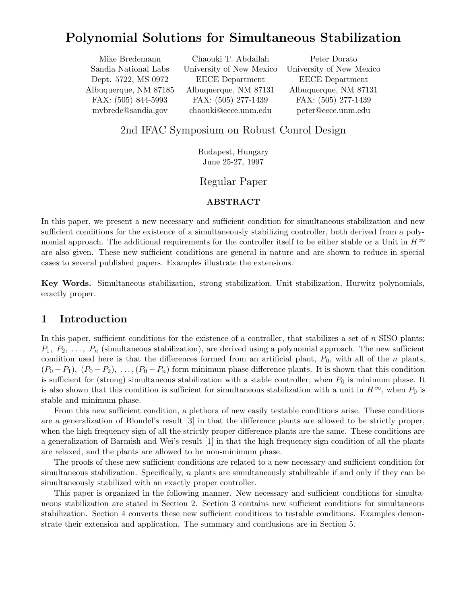# Polynomial Solutions for Simultaneous Stabilization

Mike Bredemann Chaouki T. Abdallah Peter Dorato Dept. 5722, MS 0972 EECE Department EECE Department Albuquerque, NM 87185 Albuquerque, NM 87131 Albuquerque, NM 87131 FAX: (505) 844-5993 FAX: (505) 277-1439 FAX: (505) 277-1439 mvbrede@sandia.gov chaouki@eece.unm.edu peter@eece.unm.edu

Sandia National Labs University of New Mexico University of New Mexico

## 2nd IFAC Symposium on Robust Conrol Design

Budapest, Hungary June 25-27, 1997

## Regular Paper

## ABSTRACT

In this paper, we present a new necessary and sufficient condition for simultaneous stabilization and new sufficient conditions for the existence of a simultaneously stabilizing controller, both derived from a polynomial approach. The additional requirements for the controller itself to be either stable or a Unit in  $H^{\infty}$ are also given. These new sufficient conditions are general in nature and are shown to reduce in special cases to several published papers. Examples illustrate the extensions.

Key Words. Simultaneous stabilization, strong stabilization, Unit stabilization, Hurwitz polynomials, exactly proper.

## 1 Introduction

In this paper, sufficient conditions for the existence of a controller, that stabilizes a set of  $n$  SISO plants:  $P_1, P_2, \ldots, P_n$  (simultaneous stabilization), are derived using a polynomial approach. The new sufficient condition used here is that the differences formed from an artificial plant,  $P_0$ , with all of the n plants,  $(P_0 - P_1)$ ,  $(P_0 - P_2)$ , ...,  $(P_0 - P_n)$  form minimum phase difference plants. It is shown that this condition is sufficient for (strong) simultaneous stabilization with a stable controller, when  $P_0$  is minimum phase. It is also shown that this condition is sufficient for simultaneous stabilization with a unit in  $H^{\infty}$ , when  $P_0$  is stable and minimum phase.

From this new sufficient condition, a plethora of new easily testable conditions arise. These conditions are a generalization of Blondel's result [3] in that the difference plants are allowed to be strictly proper, when the high frequency sign of all the strictly proper difference plants are the same. These conditions are a generalization of Barmish and Wei's result [1] in that the high frequency sign condition of all the plants are relaxed, and the plants are allowed to be non-minimum phase.

The proofs of these new sufficient conditions are related to a new necessary and sufficient condition for simultaneous stabilization. Specifically, n plants are simultaneously stabilizable if and only if they can be simultaneously stabilized with an exactly proper controller.

This paper is organized in the following manner. New necessary and sufficient conditions for simultaneous stabilization are stated in Section 2. Section 3 contains new sufficient conditions for simultaneous stabilization. Section 4 converts these new sufficient conditions to testable conditions. Examples demonstrate their extension and application. The summary and conclusions are in Section 5.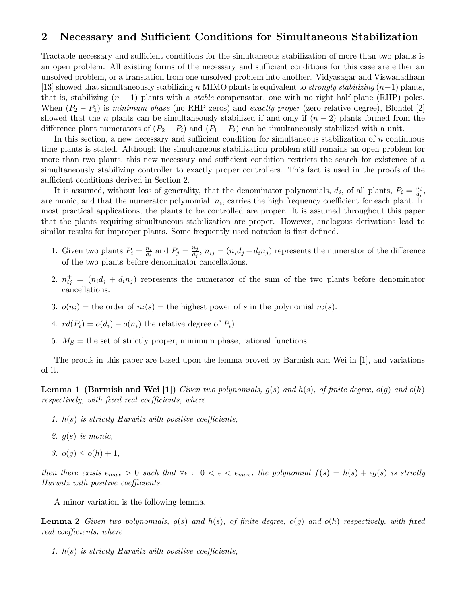## 2 Necessary and Sufficient Conditions for Simultaneous Stabilization

Tractable necessary and sufficient conditions for the simultaneous stabilization of more than two plants is an open problem. All existing forms of the necessary and sufficient conditions for this case are either an unsolved problem, or a translation from one unsolved problem into another. Vidyasagar and Viswanadham [13] showed that simultaneously stabilizing n MIMO plants is equivalent to *strongly stabilizing*  $(n-1)$  plants, that is, stabilizing  $(n - 1)$  plants with a *stable* compensator, one with no right half plane (RHP) poles. When  $(P_2 - P_1)$  is minimum phase (no RHP zeros) and exactly proper (zero relative degree), Blondel [2] showed that the n plants can be simultaneously stabilized if and only if  $(n-2)$  plants formed from the difference plant numerators of  $(P_2 - P_i)$  and  $(P_1 - P_i)$  can be simultaneously stabilized with a unit.

In this section, a new necessary and sufficient condition for simultaneous stabilization of  $n$  continuous time plants is stated. Although the simultaneous stabilization problem still remains an open problem for more than two plants, this new necessary and sufficient condition restricts the search for existence of a simultaneously stabilizing controller to exactly proper controllers. This fact is used in the proofs of the sufficient conditions derived in Section 2.

It is assumed, without loss of generality, that the denominator polynomials,  $d_i$ , of all plants,  $P_i = \frac{n_i}{d_i}$  $\frac{n_i}{d_i},$ are monic, and that the numerator polynomial,  $n_i$ , carries the high frequency coefficient for each plant. In most practical applications, the plants to be controlled are proper. It is assumed throughout this paper that the plants requiring simultaneous stabilization are proper. However, analogous derivations lead to similar results for improper plants. Some frequently used notation is first defined.

- 1. Given two plants  $P_i = \frac{n_i}{d_i}$  $\frac{n_i}{d_i}$  and  $P_j = \frac{n_j}{d_j}$  $\frac{d_i}{d_j}, n_{ij} = (n_i d_j - d_i n_j)$  represents the numerator of the difference of the two plants before denominator cancellations.
- 2.  $n_{ij}^+ = (n_i d_j + d_i n_j)$  represents the numerator of the sum of the two plants before denominator cancellations.
- 3.  $o(n_i)$  = the order of  $n_i(s)$  = the highest power of s in the polynomial  $n_i(s)$ .
- 4.  $rd(P_i) = o(d_i) o(n_i)$  the relative degree of  $P_i$ ).
- 5.  $M<sub>S</sub>$  = the set of strictly proper, minimum phase, rational functions.

The proofs in this paper are based upon the lemma proved by Barmish and Wei in [1], and variations of it.

**Lemma 1 (Barmish and Wei [1])** Given two polynomials,  $g(s)$  and  $h(s)$ , of finite degree,  $o(g)$  and  $o(h)$ respectively, with fixed real coefficients, where

- 1.  $h(s)$  is strictly Hurwitz with positive coefficients,
- 2.  $q(s)$  is monic,
- 3.  $o(q) \leq o(h) + 1$ ,

then there exists  $\epsilon_{max} > 0$  such that  $\forall \epsilon : 0 < \epsilon < \epsilon_{max}$ , the polynomial  $f(s) = h(s) + \epsilon g(s)$  is strictly Hurwitz with positive coefficients.

A minor variation is the following lemma.

**Lemma 2** Given two polynomials,  $g(s)$  and  $h(s)$ , of finite degree,  $o(g)$  and  $o(h)$  respectively, with fixed real coefficients, where

1.  $h(s)$  is strictly Hurwitz with positive coefficients,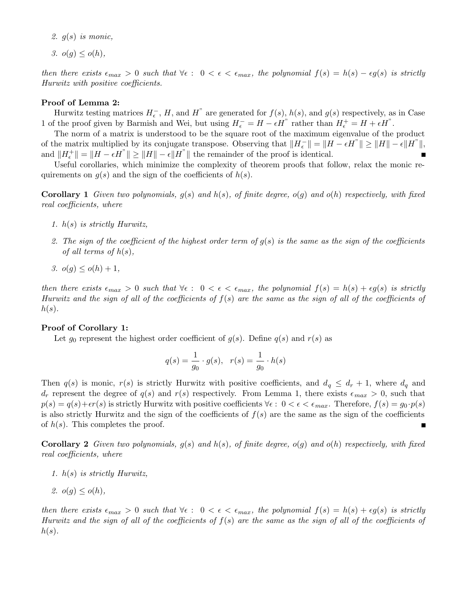- 2.  $q(s)$  is monic.
- 3.  $o(q) \leq o(h)$ ,

then there exists  $\epsilon_{max} > 0$  such that  $\forall \epsilon : 0 < \epsilon < \epsilon_{max}$ , the polynomial  $f(s) = h(s) - \epsilon g(s)$  is strictly Hurwitz with positive coefficients.

### Proof of Lemma 2:

Hurwitz testing matrices  $H_{\epsilon}^-$ , H, and H<sup>"</sup> are generated for  $f(s)$ ,  $h(s)$ , and  $g(s)$  respectively, as in Case 1 of the proof given by Barmish and Wei, but using  $H_{\epsilon}^- = H - \epsilon H^{\prime\prime}$  rather than  $H_{\epsilon}^+ = H + \epsilon H^{\prime\prime}$ .

The norm of a matrix is understood to be the square root of the maximum eigenvalue of the product of the matrix multiplied by its conjugate transpose. Observing that  $||H_{\epsilon}^-|| = ||H - \epsilon H^{\prime\prime}|| \ge ||H|| - \epsilon ||H^{\prime\prime}||$ , and  $||H_{\epsilon}^+|| = ||H - \epsilon H^{\prime\prime}|| \ge ||H|| - \epsilon ||H^{\prime\prime}||$  the remainder of the proof is identical.

Useful corollaries, which minimize the complexity of theorem proofs that follow, relax the monic requirements on  $g(s)$  and the sign of the coefficients of  $h(s)$ .

**Corollary 1** Given two polynomials,  $g(s)$  and  $h(s)$ , of finite degree,  $o(g)$  and  $o(h)$  respectively, with fixed real coefficients, where

- 1. h(s) is strictly Hurwitz,
- 2. The sign of the coefficient of the highest order term of  $g(s)$  is the same as the sign of the coefficients of all terms of  $h(s)$ ,
- 3.  $o(q) < o(h) + 1$ ,

then there exists  $\epsilon_{max} > 0$  such that  $\forall \epsilon : 0 < \epsilon < \epsilon_{max}$ , the polynomial  $f(s) = h(s) + \epsilon g(s)$  is strictly Hurwitz and the sign of all of the coefficients of  $f(s)$  are the same as the sign of all of the coefficients of  $h(s)$ .

## Proof of Corollary 1:

Let  $g_0$  represent the highest order coefficient of  $g(s)$ . Define  $q(s)$  and  $r(s)$  as

$$
q(s) = \frac{1}{g_0} \cdot g(s), \quad r(s) = \frac{1}{g_0} \cdot h(s)
$$

Then  $q(s)$  is monic,  $r(s)$  is strictly Hurwitz with positive coefficients, and  $d_q \leq d_r + 1$ , where  $d_q$  and  $d_r$  represent the degree of  $q(s)$  and  $r(s)$  respectively. From Lemma 1, there exists  $\epsilon_{max} > 0$ , such that  $p(s) = q(s) + \epsilon r(s)$  is strictly Hurwitz with positive coefficients  $\forall \epsilon : 0 < \epsilon < \epsilon_{max}$ . Therefore,  $f(s) = g_0 \cdot p(s)$ is also strictly Hurwitz and the sign of the coefficients of  $f(s)$  are the same as the sign of the coefficients of  $h(s)$ . This completes the proof.

**Corollary 2** Given two polynomials,  $g(s)$  and  $h(s)$ , of finite degree,  $o(g)$  and  $o(h)$  respectively, with fixed real coefficients, where

- 1. h(s) is strictly Hurwitz,
- 2.  $o(q) \leq o(h)$ ,

then there exists  $\epsilon_{max} > 0$  such that  $\forall \epsilon : 0 < \epsilon < \epsilon_{max}$ , the polynomial  $f(s) = h(s) + \epsilon g(s)$  is strictly Hurwitz and the sign of all of the coefficients of  $f(s)$  are the same as the sign of all of the coefficients of  $h(s)$ .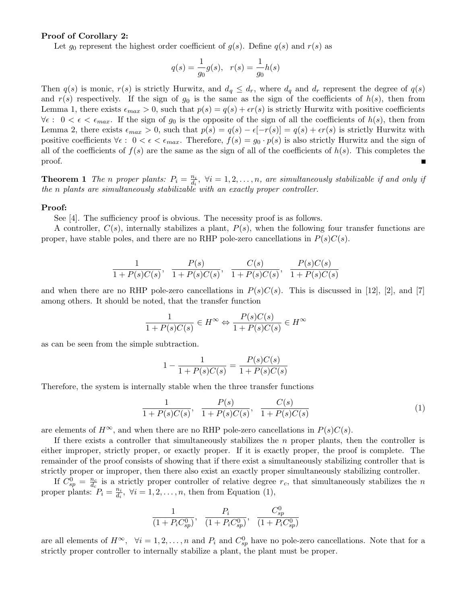### Proof of Corollary 2:

Let  $g_0$  represent the highest order coefficient of  $g(s)$ . Define  $g(s)$  and  $r(s)$  as

$$
q(s) = \frac{1}{g_0}g(s), \quad r(s) = \frac{1}{g_0}h(s)
$$

Then  $q(s)$  is monic,  $r(s)$  is strictly Hurwitz, and  $d_q \leq d_r$ , where  $d_q$  and  $d_r$  represent the degree of  $q(s)$ and  $r(s)$  respectively. If the sign of  $g_0$  is the same as the sign of the coefficients of  $h(s)$ , then from Lemma 1, there exists  $\epsilon_{max} > 0$ , such that  $p(s) = q(s) + \epsilon r(s)$  is strictly Hurwitz with positive coefficients  $\forall \epsilon : 0 < \epsilon < \epsilon_{max}$ . If the sign of  $g_0$  is the opposite of the sign of all the coefficients of  $h(s)$ , then from Lemma 2, there exists  $\epsilon_{max} > 0$ , such that  $p(s) = q(s) - \epsilon[-r(s)] = q(s) + \epsilon r(s)$  is strictly Hurwitz with positive coefficients  $\forall \epsilon : 0 < \epsilon < \epsilon_{max}$ . Therefore,  $f(s) = g_0 \cdot p(s)$  is also strictly Hurwitz and the sign of all of the coefficients of  $f(s)$  are the same as the sign of all of the coefficients of  $h(s)$ . This completes the proof. П

**Theorem 1** The *n* proper plants:  $P_i = \frac{n_i}{d_i}$  $\frac{n_i}{d_i}$ ,  $\forall i = 1, 2, \ldots, n$ , are simultaneously stabilizable if and only if the n plants are simultaneously stabilizable with an exactly proper controller.

#### Proof:

See [4]. The sufficiency proof is obvious. The necessity proof is as follows.

A controller,  $C(s)$ , internally stabilizes a plant,  $P(s)$ , when the following four transfer functions are proper, have stable poles, and there are no RHP pole-zero cancellations in  $P(s)C(s)$ .

$$
\frac{1}{1+P(s)C(s)}, \frac{P(s)}{1+P(s)C(s)}, \frac{C(s)}{1+P(s)C(s)}, \frac{P(s)C(s)}{1+P(s)C(s)}
$$

and when there are no RHP pole-zero cancellations in  $P(s)C(s)$ . This is discussed in [12], [2], and [7] among others. It should be noted, that the transfer function

$$
\frac{1}{1+P(s)C(s)} \in H^{\infty} \Leftrightarrow \frac{P(s)C(s)}{1+P(s)C(s)} \in H^{\infty}
$$

as can be seen from the simple subtraction.

$$
1 - \frac{1}{1 + P(s)C(s)} = \frac{P(s)C(s)}{1 + P(s)C(s)}
$$

Therefore, the system is internally stable when the three transfer functions

$$
\frac{1}{1+P(s)C(s)}, \frac{P(s)}{1+P(s)C(s)}, \frac{C(s)}{1+P(s)C(s)}
$$
(1)

are elements of  $H^{\infty}$ , and when there are no RHP pole-zero cancellations in  $P(s)C(s)$ .

If there exists a controller that simultaneously stabilizes the  $n$  proper plants, then the controller is either improper, strictly proper, or exactly proper. If it is exactly proper, the proof is complete. The remainder of the proof consists of showing that if there exist a simultaneously stabilizing controller that is strictly proper or improper, then there also exist an exactly proper simultaneously stabilizing controller.

If  $C_{sp}^0 = \frac{n_c}{d_c}$  $\frac{n_c}{d_c}$  is a strictly proper controller of relative degree  $r_c$ , that simultaneously stabilizes the n proper plants:  $P_i = \frac{n_i}{d_i}$  $\frac{n_i}{d_i}, \ \forall i = 1, 2, \dots, n$ , then from Equation (1),

$$
\frac{1}{(1+P_iC_{sp}^0)}, \frac{P_i}{(1+P_iC_{sp}^0)}, \frac{C_{sp}^0}{(1+P_iC_{sp}^0)}
$$

are all elements of  $H^{\infty}$ ,  $\forall i = 1, 2, ..., n$  and  $P_i$  and  $C_{sp}^0$  have no pole-zero cancellations. Note that for a strictly proper controller to internally stabilize a plant, the plant must be proper.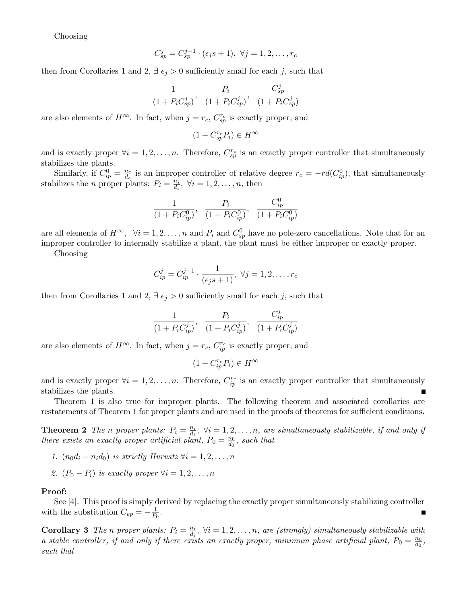Choosing

$$
C_{sp}^j = C_{sp}^{j-1} \cdot (\epsilon_j s + 1), \ \forall j = 1, 2, \dots, r_c
$$

then from Corollaries 1 and 2,  $\exists \epsilon_j > 0$  sufficiently small for each j, such that

$$
\frac{1}{(1+P_iC_{sp}^j)}, \frac{P_i}{(1+P_iC_{sp}^j)}, \frac{C_{sp}^j}{(1+P_iC_{sp}^j)}
$$

are also elements of  $H^{\infty}$ . In fact, when  $j = r_c$ ,  $C_{sp}^{r_c}$  is exactly proper, and

$$
(1 + C_{sp}^{r_c} P_i) \in H^\infty
$$

and is exactly proper  $\forall i = 1, 2, ..., n$ . Therefore,  $C_{sp}^{r_c}$  is an exactly proper controller that simultaneously stabilizes the plants.

Similarly, if  $C_{ip}^0 = \frac{n_c}{d_c}$  $\frac{n_c}{d_c}$  is an improper controller of relative degree  $r_c = -rd(C_{ip}^0)$ , that simultaneously stabilizes the *n* proper plants:  $P_i = \frac{n_i}{d_i}$  $\frac{n_i}{d_i}, \ \forall i = 1, 2, \dots, n, \text{ then}$ 

$$
\frac{1}{(1+P_iC_{ip}^0)}, \frac{P_i}{(1+P_iC_{ip}^0)}, \frac{C_{ip}^0}{(1+P_iC_{ip}^0)}
$$

are all elements of  $H^{\infty}$ ,  $\forall i = 1, 2, ..., n$  and  $P_i$  and  $C_{sp}^0$  have no pole-zero cancellations. Note that for an improper controller to internally stabilize a plant, the plant must be either improper or exactly proper.

Choosing

$$
C_{ip}^j = C_{ip}^{j-1} \cdot \frac{1}{(\epsilon_j s + 1)}, \ \forall j = 1, 2, \dots, r_c
$$

then from Corollaries 1 and 2,  $\exists \epsilon_j > 0$  sufficiently small for each j, such that

$$
\frac{1}{(1+P_iC_{ip}^j)}, \frac{P_i}{(1+P_iC_{ip}^j)}, \frac{C_{ip}^j}{(1+P_iC_{ip}^j)}
$$

are also elements of  $H^{\infty}$ . In fact, when  $j = r_c$ ,  $C_{ip}^{r_c}$  is exactly proper, and

$$
(1 + C_{ip}^{r_c} P_i) \in H^\infty
$$

and is exactly proper  $\forall i = 1, 2, ..., n$ . Therefore,  $C_{ip}^{r_c}$  is an exactly proper controller that simultaneously stabilizes the plants.

Theorem 1 is also true for improper plants. The following theorem and associated corollaries are restatements of Theorem 1 for proper plants and are used in the proofs of theorems for sufficient conditions.

**Theorem 2** The *n* proper plants:  $P_i = \frac{n_i}{d_i}$  $\frac{n_i}{d_i}, \forall i = 1, 2, \ldots, n,$  are simultaneously stabilizable, if and only if there exists an exactly proper artificial plant,  $P_0 = \frac{n_0}{d_0}$  $\frac{n_0}{d_0}$ , such that

- 1.  $(n_0d_i n_id_0)$  is strictly Hurwitz  $\forall i = 1, 2, \ldots, n$
- 2.  $(P_0 P_i)$  is exactly proper  $\forall i = 1, 2, ..., n$

#### Proof:

See [4]. This proof is simply derived by replacing the exactly proper simultaneously stabilizing controller with the substitution  $C_{ep} = -\frac{1}{P_0}$ .

**Corollary 3** The *n* proper plants:  $P_i = \frac{n_i}{d_i}$  $\frac{n_i}{d_i}$ ,  $\forall i = 1, 2, \ldots, n$ , are (strongly) simultaneously stabilizable with a stable controller, if and only if there exists an exactly proper, minimum phase artificial plant,  $P_0 = \frac{n_0}{d_0}$  $\frac{n_0}{d_0},$ such that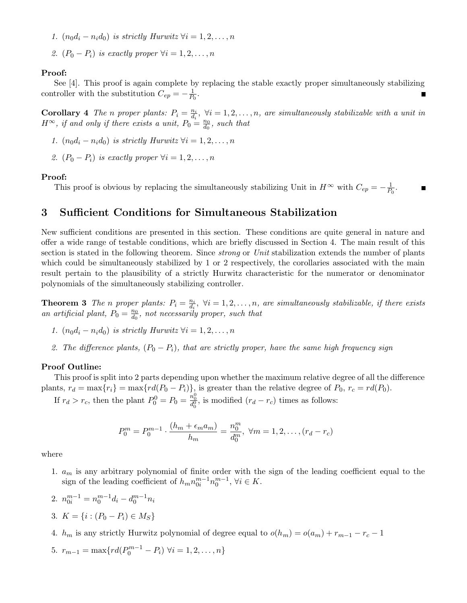1.  $(n_0d_i - n_id_0)$  is strictly Hurwitz  $\forall i = 1, 2, ..., n$ 

2.  $(P_0 - P_i)$  is exactly proper  $\forall i = 1, 2, \ldots, n$ 

## Proof:

See [4]. This proof is again complete by replacing the stable exactly proper simultaneously stabilizing controller with the substitution  $C_{ep} = -\frac{1}{P_0}$ .

**Corollary** 4 The *n* proper plants:  $P_i = \frac{n_i}{d_i}$  $\frac{n_i}{d_i}, \forall i = 1, 2, \ldots, n$ , are simultaneously stabilizable with a unit in  $H^{\infty}$ , if and only if there exists a unit,  $P_0 = \frac{n_0}{d_0}$  $\frac{n_0}{d_0}$ , such that

- 1.  $(n_0d_i n_id_0)$  is strictly Hurwitz  $\forall i = 1, 2, \ldots, n$
- 2.  $(P_0 P_i)$  is exactly proper  $\forall i = 1, 2, ..., n$

#### Proof:

This proof is obvious by replacing the simultaneously stabilizing Unit in  $H^{\infty}$  with  $C_{ep} = -\frac{1}{P_0}$ .

## 3 Sufficient Conditions for Simultaneous Stabilization

New sufficient conditions are presented in this section. These conditions are quite general in nature and offer a wide range of testable conditions, which are briefly discussed in Section 4. The main result of this section is stated in the following theorem. Since *strong* or *Unit* stabilization extends the number of plants which could be simultaneously stabilized by 1 or 2 respectively, the corollaries associated with the main result pertain to the plausibility of a strictly Hurwitz characteristic for the numerator or denominator polynomials of the simultaneously stabilizing controller.

**Theorem 3** The *n* proper plants:  $P_i = \frac{n_i}{d_i}$  $\frac{n_i}{d_i}$ ,  $\forall i = 1, 2, \ldots, n$ , are simultaneously stabilizable, if there exists an artificial plant,  $P_0 = \frac{n_0}{d_0}$  $\frac{n_0}{d_0}$ , not necessarily proper, such that

- 1.  $(n_0d_i n_id_0)$  is strictly Hurwitz  $\forall i = 1, 2, \ldots, n$
- 2. The difference plants,  $(P_0 P_i)$ , that are strictly proper, have the same high frequency sign

## Proof Outline:

This proof is split into 2 parts depending upon whether the maximum relative degree of all the difference plants,  $r_d = \max\{r_i\} = \max\{rd(P_0 - P_i)\}\$ , is greater than the relative degree of  $P_0$ ,  $r_c = rd(P_0)$ .

If  $r_d > r_c$ , then the plant  $P_0^0 = P_0 = \frac{n_0^0}{d_0^0}$ , is modified  $(r_d - r_c)$  times as follows:

$$
P_0^m = P_0^{m-1} \cdot \frac{(h_m + \epsilon_m a_m)}{h_m} = \frac{n_0^m}{d_0^m}, \ \forall m = 1, 2, \dots, (r_d - r_c)
$$

where

1.  $a_m$  is any arbitrary polynomial of finite order with the sign of the leading coefficient equal to the sign of the leading coefficient of  $h_m n_{0i}^{m-1} n_0^{m-1}$ ,  $\forall i \in K$ .

$$
2. \ \ n_{0i}^{m-1} = n_0^{m-1} d_i - d_0^{m-1} n_i
$$

3. 
$$
K = \{i : (P_0 - P_i) \in M_S\}
$$

4.  $h_m$  is any strictly Hurwitz polynomial of degree equal to  $o(h_m) = o(a_m) + r_{m-1} - r_c - 1$ 

5. 
$$
r_{m-1} = \max\{rd(P_0^{m-1} - P_i) \,\forall i = 1, 2, ..., n\}
$$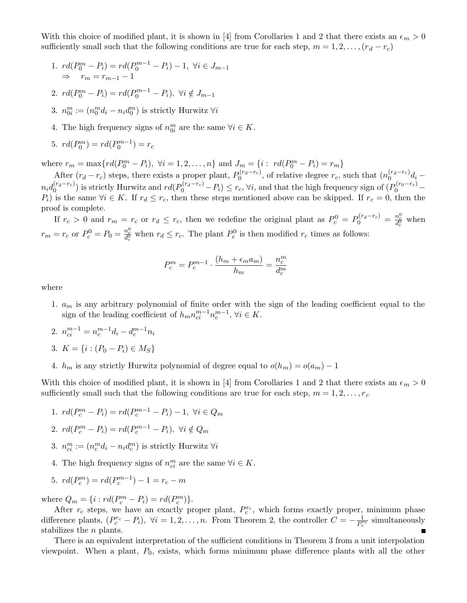With this choice of modified plant, it is shown in [4] from Corollaries 1 and 2 that there exists an  $\epsilon_m > 0$ sufficiently small such that the following conditions are true for each step,  $m = 1, 2, \ldots, (r_d - r_c)$ 

- 1.  $rd(P_0^m P_i) = rd(P_0^{m-1} P_i) 1, \ \forall i \in J_{m-1}$  $\Rightarrow$   $r_m = r_{m-1} - 1$
- 2.  $rd(P_0^m P_i) = rd(P_0^{m-1} P_i), \ \forall i \notin J_{m-1}$
- 3.  $n_{0i}^m := (n_0^m d_i n_i d_0^m)$  is strictly Hurwitz  $\forall i$
- 4. The high frequency signs of  $n_{0i}^m$  are the same  $\forall i \in K$ .
- 5.  $rd(P_0^m) = rd(P_0^{m-1}) = r_c$

where  $r_m = \max\{rd(P_0^m - P_i), \forall i = 1, 2, ..., n\}$  and  $J_m = \{i : rd(P_0^m - P_i) = r_m\}$ 

After  $(r_d - r_c)$  steps, there exists a proper plant,  $P_0^{(r_d - r_c)}$ , of relative degree  $r_c$ , such that  $(n_0^{(r_d - r_c)}d_i$  $n_i d_0^{(r_d-r_c)}$  is strictly Hurwitz and  $rd(P_0^{(r_d-r_c)}-P_i) \leq r_c$ ,  $\forall i$ , and that the high frequency sign of  $(P_0^{(r_0-r_c)}-P_i)$  $P_i$ ) is the same  $\forall i \in K$ . If  $r_d \leq r_c$ , then these steps mentioned above can be skipped. If  $r_c = 0$ , then the proof is complete.

If  $r_c > 0$  and  $r_m = r_c$  or  $r_d \le r_c$ , then we redefine the original plant as  $P_c^0 = P_0^{(r_d - r_c)} = \frac{n_c^0}{d_c^0}$  when  $r_m = r_c$  or  $P_c^0 = P_0 = \frac{n_c^0}{d_c^0}$  when  $r_d \le r_c$ . The plant  $P_c^0$  is then modified  $r_c$  times as follows:

$$
P_c^m = P_c^{m-1} \cdot \frac{(h_m + \epsilon_m a_m)}{h_m} = \frac{n_c^m}{d_c^m}
$$

where

- 1.  $a_m$  is any arbitrary polynomial of finite order with the sign of the leading coefficient equal to the sign of the leading coefficient of  $h_m n_{ci}^{m-1} n_c^{m-1}$ ,  $\forall i \in K$ .
- 2.  $n_{ci}^{m-1} = n_c^{m-1} d_i d_c^{m-1} n_i$
- 3.  $K = \{i : (P_0 P_i) \in M_S\}$
- 4.  $h_m$  is any strictly Hurwitz polynomial of degree equal to  $o(h_m) = o(a_m) 1$

With this choice of modified plant, it is shown in [4] from Corollaries 1 and 2 that there exists an  $\epsilon_m > 0$ sufficiently small such that the following conditions are true for each step,  $m = 1, 2, \ldots, r_c$ 

1.  $rd(P_c^m - P_i) = rd(P_c^{m-1} - P_i) - 1, \ \forall i \in Q_m$ 

$$
2. \ r d(P_c^m - P_i) = r d(P_c^{m-1} - P_i), \ \forall i \notin Q_m
$$

- 3.  $n_{ci}^m := (n_c^m d_i n_i d_c^m)$  is strictly Hurwitz  $\forall i$
- 4. The high frequency signs of  $n_{ci}^m$  are the same  $\forall i \in K$ .

5. 
$$
rd(P_c^m) = rd(P_c^{m-1}) - 1 = r_c - m
$$

where  $Q_m = \{ i : rd(P_c^m - P_i) = rd(P_c^m) \}.$ 

After  $r_c$  steps, we have an exactly proper plant,  $P_c^{r_c}$ , which forms exactly proper, minimum phase difference plants,  $(P_c^{r_c} - P_i)$ ,  $\forall i = 1, 2, ..., n$ . From Theorem 2, the controller  $C = -\frac{1}{P_c^2}$  $\frac{1}{P_c^{r_c}}$  simultaneously stabilizes the *n* plants. π

There is an equivalent interpretation of the sufficient conditions in Theorem 3 from a unit interpolation viewpoint. When a plant,  $P_0$ , exists, which forms minimum phase difference plants with all the other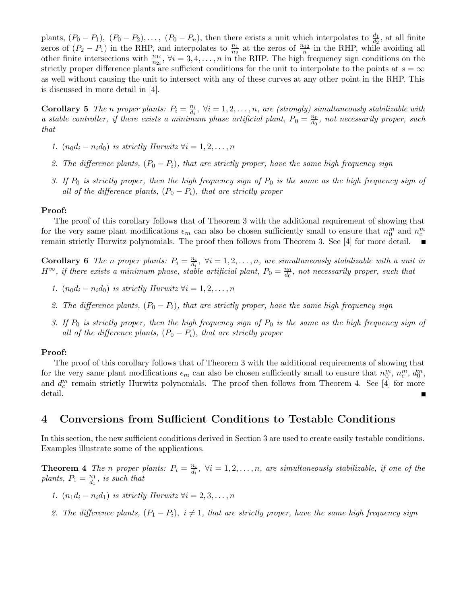plants,  $(P_0 - P_1)$ ,  $(P_0 - P_2)$ ,...,  $(P_0 - P_n)$ , then there exists a unit which interpolates to  $\frac{d_1}{d_2}$ , at all finite plants,  $(1 \tbinom{n-1}{1}, (1 \tbinom{n-1}{2}, \ldots, (1 \tbinom{n-1}{n}),$  then there exists a time which interpolates to  $\frac{d_2}{d_2}$ , at an infiner zeros of  $(P_2 - P_1)$  in the RHP, and interpolates to  $\frac{n_1}{n_2}$  at the zeros of  $\frac{n_{12}}{n}$  other finite intersections with  $\frac{n_{1i}}{n_{2i}}, \forall i = 3, 4, ..., n$  in the RHP. The high frequency sign conditions on the strictly proper difference plants are sufficient conditions for the unit to interpolate to the points at  $s = \infty$ as well without causing the unit to intersect with any of these curves at any other point in the RHP. This is discussed in more detail in [4].

**Corollary 5** The *n* proper plants:  $P_i = \frac{n_i}{d_i}$  $\frac{n_i}{d_i}$ ,  $\forall i = 1, 2, \ldots, n$ , are (strongly) simultaneously stabilizable with a stable controller, if there exists a minimum phase artificial plant,  $P_0 = \frac{n_0}{d_0}$  $\frac{n_0}{d_0}$ , not necessarily proper, such that

- 1.  $(n_0d_i n_id_0)$  is strictly Hurwitz  $\forall i = 1, 2, \ldots, n$
- 2. The difference plants,  $(P_0 P_i)$ , that are strictly proper, have the same high frequency sign
- 3. If  $P_0$  is strictly proper, then the high frequency sign of  $P_0$  is the same as the high frequency sign of all of the difference plants,  $(P_0 - P_i)$ , that are strictly proper

#### Proof:

The proof of this corollary follows that of Theorem 3 with the additional requirement of showing that for the very same plant modifications  $\epsilon_m$  can also be chosen sufficiently small to ensure that  $n_0^m$  and  $n_c^m$ remain strictly Hurwitz polynomials. The proof then follows from Theorem 3. See [4] for more detail.

**Corollary 6** The *n* proper plants:  $P_i = \frac{n_i}{d_i}$  $\frac{n_i}{d_i}, \forall i = 1, 2, \ldots, n,$  are simultaneously stabilizable with a unit in  $H^{\infty}$ , if there exists a minimum phase, stable artificial plant,  $P_0 = \frac{n_0}{d_0}$  $\frac{n_0}{d_0}$ , not necessarily proper, such that

- 1.  $(n_0d_i n_id_0)$  is strictly Hurwitz  $\forall i = 1, 2, ..., n$
- 2. The difference plants,  $(P_0 P_i)$ , that are strictly proper, have the same high frequency sign
- 3. If  $P_0$  is strictly proper, then the high frequency sign of  $P_0$  is the same as the high frequency sign of all of the difference plants,  $(P_0 - P_i)$ , that are strictly proper

## Proof:

The proof of this corollary follows that of Theorem 3 with the additional requirements of showing that for the very same plant modifications  $\epsilon_m$  can also be chosen sufficiently small to ensure that  $n_0^m$ ,  $n_c^m$ ,  $d_0^m$ , and  $d_c^m$  remain strictly Hurwitz polynomials. The proof then follows from Theorem 4. See [4] for more detail.

## 4 Conversions from Sufficient Conditions to Testable Conditions

In this section, the new sufficient conditions derived in Section 3 are used to create easily testable conditions. Examples illustrate some of the applications.

**Theorem 4** The *n* proper plants:  $P_i = \frac{n_i}{d_i}$  $\frac{n_i}{d_i}$ ,  $\forall i = 1, 2, \ldots, n$ , are simultaneously stabilizable, if one of the plants,  $P_1 = \frac{n_1}{d_1}$  $\frac{n_1}{d_1}$ , is such that

- 1.  $(n_1d_i n_id_1)$  is strictly Hurwitz  $\forall i = 2, 3, ..., n$
- 2. The difference plants,  $(P_1 P_i)$ ,  $i \neq 1$ , that are strictly proper, have the same high frequency sign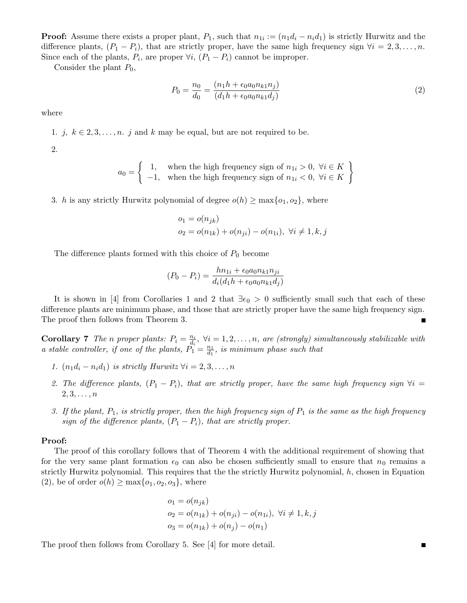**Proof:** Assume there exists a proper plant,  $P_1$ , such that  $n_{1i} := (n_1d_i - n_id_1)$  is strictly Hurwitz and the difference plants,  $(P_1 - P_i)$ , that are strictly proper, have the same high frequency sign  $\forall i = 2, 3, ..., n$ . Since each of the plants,  $P_i$ , are proper  $\forall i$ ,  $(P_1 - P_i)$  cannot be improper.

Consider the plant  $P_0$ ,

$$
P_0 = \frac{n_0}{d_0} = \frac{(n_1 h + \epsilon_0 a_0 n_{k1} n_j)}{(d_1 h + \epsilon_0 a_0 n_{k1} d_j)}
$$
(2)

where

1. j,  $k \in 2, 3, \ldots, n$ . j and k may be equal, but are not required to be.

2.

$$
a_0 = \left\{ \begin{array}{ll} 1, & \text{when the high frequency sign of } n_{1i} > 0, \ \forall i \in K \\ -1, & \text{when the high frequency sign of } n_{1i} < 0, \ \forall i \in K \end{array} \right\}
$$

3. h is any strictly Hurwitz polynomial of degree  $o(h) \ge \max\{o_1, o_2\}$ , where

$$
o_1 = o(n_{jk})
$$
  
 
$$
o_2 = o(n_{1k}) + o(n_{ji}) - o(n_{1i}), \forall i \neq 1, k, j
$$

The difference plants formed with this choice of  $P_0$  become

$$
(P_0 - P_i) = \frac{hn_{1i} + \epsilon_0 a_0 n_{k1} n_{ji}}{d_i (d_1 h + \epsilon_0 a_0 n_{k1} d_j)}
$$

It is shown in [4] from Corollaries 1 and 2 that  $\exists \epsilon_0 > 0$  sufficiently small such that each of these difference plants are minimum phase, and those that are strictly proper have the same high frequency sign. The proof then follows from Theorem 3. П

**Corollary 7** The *n* proper plants:  $P_i = \frac{n_i}{d_i}$  $\frac{n_i}{d_i}, \forall i = 1, 2, \ldots, n,$  are (strongly) simultaneously stabilizable with a stable controller, if one of the plants,  $P_1^{\alpha} = \frac{n_1}{d_1}$  $\frac{n_1}{d_1}$ , is minimum phase such that

- 1.  $(n_1d_i n_id_1)$  is strictly Hurwitz  $\forall i = 2, 3, ..., n$
- 2. The difference plants,  $(P_1 P_i)$ , that are strictly proper, have the same high frequency sign  $\forall i =$  $2, 3, \ldots, n$
- 3. If the plant,  $P_1$ , is strictly proper, then the high frequency sign of  $P_1$  is the same as the high frequency sign of the difference plants,  $(P_1 - P_i)$ , that are strictly proper.

## Proof:

The proof of this corollary follows that of Theorem 4 with the additional requirement of showing that for the very same plant formation  $\epsilon_0$  can also be chosen sufficiently small to ensure that  $n_0$  remains a strictly Hurwitz polynomial. This requires that the the strictly Hurwitz polynomial,  $h$ , chosen in Equation (2), be of order  $o(h) \ge \max\{o_1, o_2, o_3\}$ , where

$$
o_1 = o(n_{jk})
$$
  
\n
$$
o_2 = o(n_{1k}) + o(n_{ji}) - o(n_{1i}), \forall i \neq 1, k, j
$$
  
\n
$$
o_3 = o(n_{1k}) + o(n_j) - o(n_1)
$$

The proof then follows from Corollary 5. See [4] for more detail.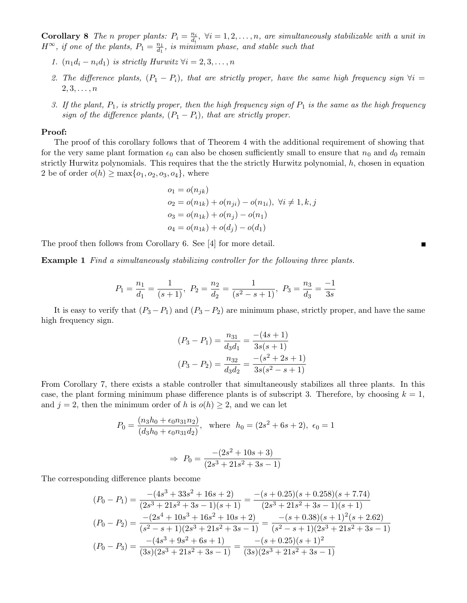**Corollary 8** The *n* proper plants:  $P_i = \frac{n_i}{d_i}$  $\frac{n_i}{d_i}$ ,  $\forall i = 1, 2, \ldots, n$ , are simultaneously stabilizable with a unit in  $H^{\infty}$ , if one of the plants,  $P_1 = \frac{n_1}{d_1}$  $\frac{n_1}{d_1}$ , is minimum phase, and stable such that

- 1.  $(n_1d_i n_id_1)$  is strictly Hurwitz  $\forall i = 2, 3, ..., n$
- 2. The difference plants,  $(P_1 P_i)$ , that are strictly proper, have the same high frequency sign  $\forall i =$  $2, 3, \ldots, n$
- 3. If the plant,  $P_1$ , is strictly proper, then the high frequency sign of  $P_1$  is the same as the high frequency sign of the difference plants,  $(P_1 - P_i)$ , that are strictly proper.

#### Proof:

The proof of this corollary follows that of Theorem 4 with the additional requirement of showing that for the very same plant formation  $\epsilon_0$  can also be chosen sufficiently small to ensure that  $n_0$  and  $d_0$  remain strictly Hurwitz polynomials. This requires that the the strictly Hurwitz polynomial, h, chosen in equation 2 be of order  $o(h) \ge \max\{o_1, o_2, o_3, o_4\}$ , where

$$
o_1 = o(n_{jk})
$$
  
\n
$$
o_2 = o(n_{1k}) + o(n_{ji}) - o(n_{1i}), \forall i \neq 1, k, j
$$
  
\n
$$
o_3 = o(n_{1k}) + o(n_j) - o(n_1)
$$
  
\n
$$
o_4 = o(n_{1k}) + o(d_j) - o(d_1)
$$

The proof then follows from Corollary 6. See [4] for more detail.

Example 1 Find a simultaneously stabilizing controller for the following three plants.

$$
P_1 = \frac{n_1}{d_1} = \frac{1}{(s+1)}, \ P_2 = \frac{n_2}{d_2} = \frac{1}{(s^2 - s + 1)}, \ P_3 = \frac{n_3}{d_3} = \frac{-1}{3s}
$$

It is easy to verify that  $(P_3 - P_1)$  and  $(P_3 - P_2)$  are minimum phase, strictly proper, and have the same high frequency sign.

$$
(P_3 - P_1) = \frac{n_{31}}{d_3 d_1} = \frac{-(4s+1)}{3s(s+1)}
$$

$$
(P_3 - P_2) = \frac{n_{32}}{d_3 d_2} = \frac{-(s^2 + 2s + 1)}{3s(s^2 - s + 1)}
$$

From Corollary 7, there exists a stable controller that simultaneously stabilizes all three plants. In this case, the plant forming minimum phase difference plants is of subscript 3. Therefore, by choosing  $k = 1$ , and  $j = 2$ , then the minimum order of h is  $o(h) \geq 2$ , and we can let

$$
P_0 = \frac{(n_3h_0 + \epsilon_0 n_{31}n_2)}{(d_3h_0 + \epsilon_0 n_{31}d_2)}, \text{ where } h_0 = (2s^2 + 6s + 2), \epsilon_0 = 1
$$

$$
\Rightarrow P_0 = \frac{-(2s^2 + 10s + 3)}{(2s^3 + 21s^2 + 3s - 1)}
$$

The corresponding difference plants become

$$
(P_0 - P_1) = \frac{-(4s^3 + 33s^2 + 16s + 2)}{(2s^3 + 21s^2 + 3s - 1)(s + 1)} = \frac{-(s + 0.25)(s + 0.258)(s + 7.74)}{(2s^3 + 21s^2 + 3s - 1)(s + 1)}
$$

$$
(P_0 - P_2) = \frac{-(2s^4 + 10s^3 + 16s^2 + 10s + 2)}{(s^2 - s + 1)(2s^3 + 21s^2 + 3s - 1)} = \frac{-(s + 0.38)(s + 1)^2(s + 2.62)}{(s^2 - s + 1)(2s^3 + 21s^2 + 3s - 1)}
$$

$$
(P_0 - P_3) = \frac{-(4s^3 + 9s^2 + 6s + 1)}{(3s)(2s^3 + 21s^2 + 3s - 1)} = \frac{-(s + 0.25)(s + 1)^2}{(3s)(2s^3 + 21s^2 + 3s - 1)}
$$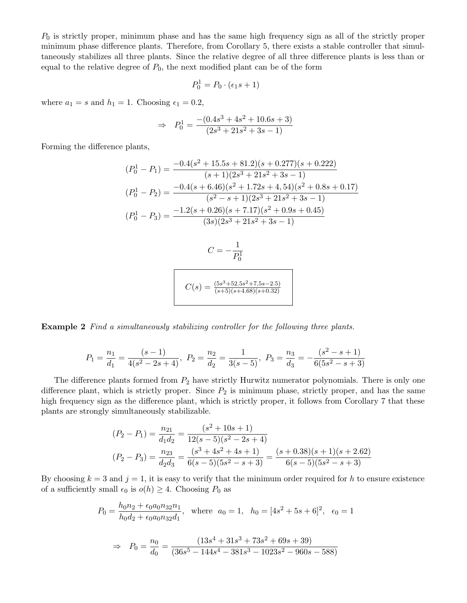$P_0$  is strictly proper, minimum phase and has the same high frequency sign as all of the strictly proper minimum phase difference plants. Therefore, from Corollary 5, there exists a stable controller that simultaneously stabilizes all three plants. Since the relative degree of all three difference plants is less than or equal to the relative degree of  $P_0$ , the next modified plant can be of the form

$$
P_0^1 = P_0 \cdot (\epsilon_1 s + 1)
$$

where  $a_1 = s$  and  $h_1 = 1$ . Choosing  $\epsilon_1 = 0.2$ ,

$$
\Rightarrow P_0^1 = \frac{-(0.4s^3 + 4s^2 + 10.6s + 3)}{(2s^3 + 21s^2 + 3s - 1)}
$$

Forming the difference plants,

$$
(P_0^1 - P_1) = \frac{-0.4(s^2 + 15.5s + 81.2)(s + 0.277)(s + 0.222)}{(s + 1)(2s^3 + 21s^2 + 3s - 1)}
$$

$$
(P_0^1 - P_2) = \frac{-0.4(s + 6.46)(s^2 + 1.72s + 4, 54)(s^2 + 0.8s + 0.17)}{(s^2 - s + 1)(2s^3 + 21s^2 + 3s - 1)}
$$

$$
(P_0^1 - P_3) = \frac{-1.2(s + 0.26)(s + 7.17)(s^2 + 0.9s + 0.45)}{(3s)(2s^3 + 21s^2 + 3s - 1)}
$$

$$
C = -\frac{1}{P_0^1}
$$

$$
C(s) = \frac{(5s^3 + 52.5s^2 + 7.5s - 2.5)}{(s+5)(s+4.68)(s+0.32)}
$$

Example 2 Find a simultaneously stabilizing controller for the following three plants.

$$
P_1 = \frac{n_1}{d_1} = \frac{(s-1)}{4(s^2 - 2s + 4)}, \ P_2 = \frac{n_2}{d_2} = \frac{1}{3(s-5)}, \ P_3 = \frac{n_3}{d_3} = -\frac{(s^2 - s + 1)}{6(5s^2 - s + 3)}
$$

The difference plants formed from  $P_2$  have strictly Hurwitz numerator polynomials. There is only one difference plant, which is strictly proper. Since  $P_2$  is minimum phase, strictly proper, and has the same high frequency sign as the difference plant, which is strictly proper, it follows from Corollary 7 that these plants are strongly simultaneously stabilizable.

$$
(P_2 - P_1) = \frac{n_{21}}{d_1 d_2} = \frac{(s^2 + 10s + 1)}{12(s - 5)(s^2 - 2s + 4)}
$$
  
\n
$$
(P_2 - P_3) = \frac{n_{23}}{d_2 d_3} = \frac{(s^3 + 4s^2 + 4s + 1)}{6(s - 5)(5s^2 - s + 3)} = \frac{(s + 0.38)(s + 1)(s + 2.62)}{6(s - 5)(5s^2 - s + 3)}
$$

By choosing  $k = 3$  and  $j = 1$ , it is easy to verify that the minimum order required for h to ensure existence of a sufficiently small  $\epsilon_0$  is  $o(h) \geq 4$ . Choosing  $P_0$  as

$$
P_0 = \frac{h_0 n_2 + \epsilon_0 a_0 n_3}{h_0 d_2 + \epsilon_0 a_0 n_3} \frac{n_1}{n_1}, \text{ where } a_0 = 1, \quad h_0 = [4s^2 + 5s + 6]^2, \quad \epsilon_0 = 1
$$
\n
$$
\Rightarrow \quad P_0 = \frac{n_0}{d_0} = \frac{(13s^4 + 31s^3 + 73s^2 + 69s + 39)}{(36s^5 - 144s^4 - 381s^3 - 1023s^2 - 960s - 588)}
$$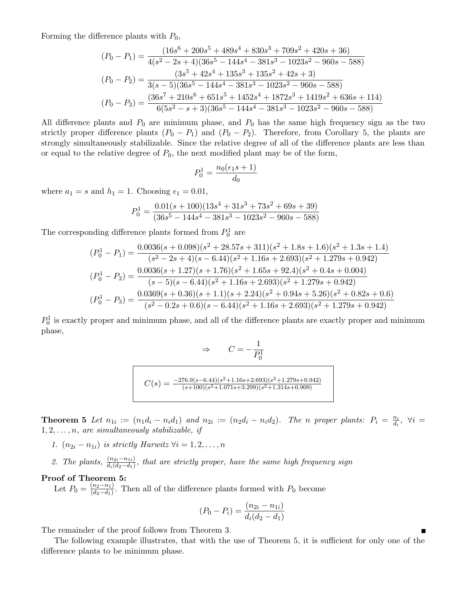Forming the difference plants with  $P_0$ ,

$$
(P_0 - P_1) = \frac{(16s^6 + 200s^5 + 489s^4 + 830s^3 + 709s^2 + 420s + 36)}{4(s^2 - 2s + 4)(36s^5 - 144s^4 - 381s^3 - 1023s^2 - 960s - 588)}
$$
  
\n
$$
(P_0 - P_2) = \frac{(3s^5 + 42s^4 + 135s^3 + 135s^2 + 42s + 3)}{3(s - 5)(36s^5 - 144s^4 - 381s^3 - 1023s^2 - 960s - 588)}
$$
  
\n
$$
(P_0 - P_3) = \frac{(36s^7 + 210s^6 + 651s^5 + 1452s^4 + 1872s^3 + 1419s^2 + 636s + 114)}{6(5s^2 - s + 3)(36s^5 - 144s^4 - 381s^3 - 1023s^2 - 960s - 588)}
$$

All difference plants and  $P_0$  are minimum phase, and  $P_0$  has the same high frequency sign as the two strictly proper difference plants  $(P_0 - P_1)$  and  $(P_0 - P_2)$ . Therefore, from Corollary 5, the plants are strongly simultaneously stabilizable. Since the relative degree of all of the difference plants are less than or equal to the relative degree of  $P_0$ , the next modified plant may be of the form,

$$
P_0^1 = \frac{n_0(\epsilon_1 s + 1)}{d_0}
$$

where  $a_1 = s$  and  $h_1 = 1$ . Choosing  $\epsilon_1 = 0.01$ ,

$$
P_0^1 = \frac{0.01(s + 100)(13s^4 + 31s^3 + 73s^2 + 69s + 39)}{(36s^5 - 144s^4 - 381s^3 - 1023s^2 - 960s - 588)}
$$

The corresponding difference plants formed from  $P_0^1$  are

$$
(P_0^1 - P_1) = \frac{0.0036(s + 0.098)(s^2 + 28.57s + 311)(s^2 + 1.8s + 1.6)(s^2 + 1.3s + 1.4)}{(s^2 - 2s + 4)(s - 6.44)(s^2 + 1.16s + 2.693)(s^2 + 1.279s + 0.942)}
$$
  
\n
$$
(P_0^1 - P_2) = \frac{0.0036(s + 1.27)(s + 1.76)(s^2 + 1.65s + 92.4)(s^2 + 0.4s + 0.004)}{(s - 5)(s - 6.44)(s^2 + 1.16s + 2.693)(s^2 + 1.279s + 0.942)}
$$
  
\n
$$
(P_0^1 - P_3) = \frac{0.0369(s + 0.36)(s + 1.1)(s + 2.24)(s^2 + 0.94s + 5.26)(s^2 + 0.82s + 0.6)}{(s^2 - 0.2s + 0.6)(s - 6.44)(s^2 + 1.16s + 2.693)(s^2 + 1.279s + 0.942)}
$$

 $P_0^1$  is exactly proper and minimum phase, and all of the difference plants are exactly proper and minimum phase,

$$
\Rightarrow \qquad C = -\frac{1}{P_0^1}
$$

$$
C(s) = \frac{-276.9(s - 6.44)(s^2 + 1.16s + 2.693)(s^2 + 1.279s + 0.942)}{(s + 100)(s^2 + 1.071s + 3.299)(s^2 + 1.314s + 0.909)}
$$

**Theorem 5** Let  $n_{1i} := (n_1d_i - n_id_1)$  and  $n_{2i} := (n_2d_i - n_id_2)$ . The n proper plants:  $P_i = \frac{n_i}{d_i}$  $\frac{n_i}{d_i}, \forall i =$  $1, 2, \ldots, n$ , are simultaneously stabilizable, if

- 1.  $(n_{2i} n_{1i})$  is strictly Hurwitz  $\forall i = 1, 2, ..., n$
- 2. The plants,  $\frac{(n_{2i}-n_{1i})}{d_i(d_2-d_1)}$ , that are strictly proper, have the same high frequency sign

#### Proof of Theorem 5:

Let  $P_0 = \frac{(n_2 - n_1)}{(d_2 - d_1)}$  $\frac{(n_2-n_1)}{(d_2-d_1)}$ . Then all of the difference plants formed with  $P_0$  become

$$
(P_0 - P_i) = \frac{(n_{2i} - n_{1i})}{d_i(d_2 - d_1)}
$$

The remainder of the proof follows from Theorem 3.

The following example illustrates, that with the use of Theorem 5, it is sufficient for only one of the difference plants to be minimum phase.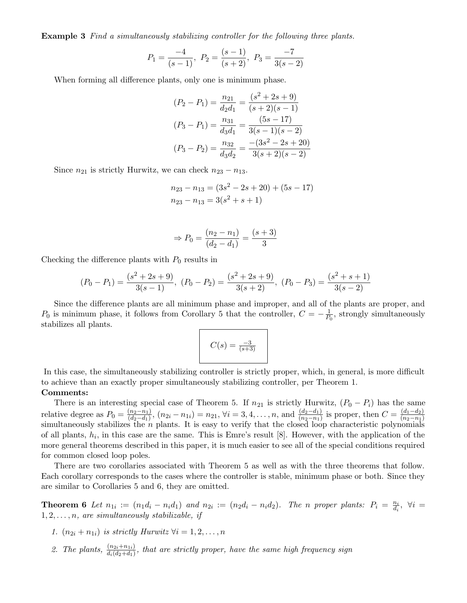Example 3 Find a simultaneously stabilizing controller for the following three plants.

$$
P_1 = \frac{-4}{(s-1)}, P_2 = \frac{(s-1)}{(s+2)}, P_3 = \frac{-7}{3(s-2)}
$$

When forming all difference plants, only one is minimum phase.

$$
(P_2 - P_1) = \frac{n_{21}}{d_2 d_1} = \frac{(s^2 + 2s + 9)}{(s + 2)(s - 1)}
$$

$$
(P_3 - P_1) = \frac{n_{31}}{d_3 d_1} = \frac{(5s - 17)}{3(s - 1)(s - 2)}
$$

$$
(P_3 - P_2) = \frac{n_{32}}{d_3 d_2} = \frac{-(3s^2 - 2s + 20)}{3(s + 2)(s - 2)}
$$

Since  $n_{21}$  is strictly Hurwitz, we can check  $n_{23} - n_{13}$ .

$$
n_{23} - n_{13} = (3s^2 - 2s + 20) + (5s - 17)
$$
  

$$
n_{23} - n_{13} = 3(s^2 + s + 1)
$$

$$
\Rightarrow P_0 = \frac{(n_2 - n_1)}{(d_2 - d_1)} = \frac{(s+3)}{3}
$$

Checking the difference plants with  $P_0$  results in

$$
(P_0 - P_1) = \frac{(s^2 + 2s + 9)}{3(s - 1)}, (P_0 - P_2) = \frac{(s^2 + 2s + 9)}{3(s + 2)}, (P_0 - P_3) = \frac{(s^2 + s + 1)}{3(s - 2)}
$$

Since the difference plants are all minimum phase and improper, and all of the plants are proper, and  $P_0$  is minimum phase, it follows from Corollary 5 that the controller,  $C = -\frac{1}{P_0}$ , strongly simultaneously stabilizes all plants.

$$
C(s) = \frac{-3}{(s+3)}
$$

In this case, the simultaneously stabilizing controller is strictly proper, which, in general, is more difficult to achieve than an exactly proper simultaneously stabilizing controller, per Theorem 1.

## Comments:

There is an interesting special case of Theorem 5. If  $n_{21}$  is strictly Hurwitz,  $(P_0 - P_i)$  has the same relative degree as  $P_0 = \frac{(n_2 - n_1)}{(d_2 - d_1)}$  $\frac{(n_2-n_1)}{(d_2-d_1)}$ ,  $(n_{2i}-n_{1i})=n_{21}$ ,  $\forall i=3,4,\ldots,n$ , and  $\frac{(d_2-d_1)}{(n_2-n_1)}$  is proper, then  $C=\frac{(d_1-d_2)}{(n_2-n_1)}$  $(n_2-n_1)$ simultaneously stabilizes the  $n$  plants. It is easy to verify that the closed loop characteristic polynomials of all plants,  $h_i$ , in this case are the same. This is Emre's result [8]. However, with the application of the more general theorems described in this paper, it is much easier to see all of the special conditions required for common closed loop poles.

There are two corollaries associated with Theorem 5 as well as with the three theorems that follow. Each corollary corresponds to the cases where the controller is stable, minimum phase or both. Since they are similar to Corollaries 5 and 6, they are omitted.

**Theorem 6** Let  $n_{1i} := (n_1d_i - n_id_1)$  and  $n_{2i} := (n_2d_i - n_id_2)$ . The n proper plants:  $P_i = \frac{n_i}{d_i}$  $\frac{n_i}{d_i}, \forall i =$  $1, 2, \ldots, n$ , are simultaneously stabilizable, if

- 1.  $(n_{2i} + n_{1i})$  is strictly Hurwitz  $\forall i = 1, 2, ..., n$
- 2. The plants,  $\frac{(n_{2i}+n_{1i})}{d_i(d_2+d_1)}$ , that are strictly proper, have the same high frequency sign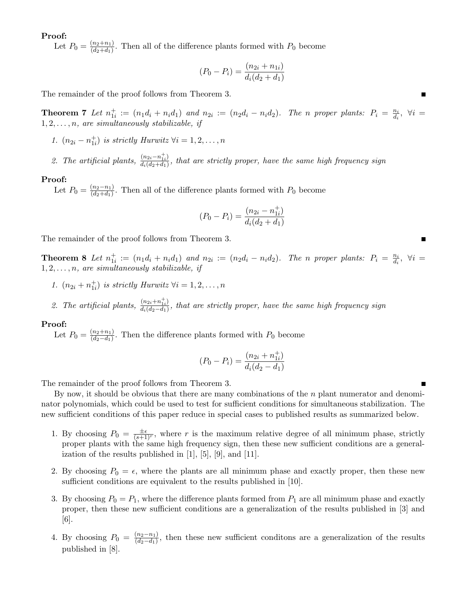### Proof:

Let  $P_0 = \frac{(n_2+n_1)}{(d_2+d_1)}$  $\frac{(u_2+u_1)}{(d_2+d_1)}$ . Then all of the difference plants formed with  $P_0$  become

$$
(P_0 - P_i) = \frac{(n_{2i} + n_{1i})}{d_i(d_2 + d_1)}
$$

The remainder of the proof follows from Theorem 3.

**Theorem 7** Let  $n_{1i}^+ := (n_1d_i + n_id_1)$  and  $n_{2i} := (n_2d_i - n_id_2)$ . The n proper plants:  $P_i = \frac{n_i}{d_i}$  $\frac{n_i}{d_i}, \forall i =$  $1, 2, \ldots, n$ , are simultaneously stabilizable, if

- 1.  $(n_{2i} n_{1i}^+)$  is strictly Hurwitz  $\forall i = 1, 2, ..., n$
- 2. The artificial plants,  $\frac{(n_{2i}-n_{1i}^+)}{d_i(d_2+d_1)}$  $\frac{\overline{(u_{2i}-u_{1i})}}{\overline{d_i(d_2+d_1)}},$  that are strictly proper, have the same high frequency sign

#### Proof:

Let  $P_0 = \frac{(n_2 - n_1)}{(d_2 + d_1)}$  $\frac{(n_2-n_1)}{(d_2+d_1)}$ . Then all of the difference plants formed with  $P_0$  become

$$
(P_0 - P_i) = \frac{(n_{2i} - n_{1i}^+)}{d_i(d_2 + d_1)}
$$

The remainder of the proof follows from Theorem 3.

**Theorem 8** Let  $n_{1i}^+ := (n_1d_i + n_id_1)$  and  $n_{2i} := (n_2d_i - n_id_2)$ . The n proper plants:  $P_i = \frac{n_i}{d_i}$  $\frac{n_i}{d_i}, \forall i =$  $1, 2, \ldots, n$ , are simultaneously stabilizable, if

- 1.  $(n_{2i} + n_{1i}^+)$  is strictly Hurwitz  $\forall i = 1, 2, ..., n$
- 2. The artificial plants,  $\frac{(n_{2i}+n_{1i}^+)}{d \cdot (d_2-d_1)}$  $\frac{\overline{(u_{2i}+u_{1i})}}{\overline{d_i(d_2-d_1)}},$  that are strictly proper, have the same high frequency sign

#### Proof:

Let  $P_0 = \frac{(n_2+n_1)}{(d_2-d_1)}$ . Then the difference plants formed with  $P_0$  become

$$
(P_0 - P_i) = \frac{(n_{2i} + n_{1i}^+)}{d_i(d_2 - d_1)}
$$

The remainder of the proof follows from Theorem 3.

By now, it should be obvious that there are many combinations of the  $n$  plant numerator and denominator polynomials, which could be used to test for sufficient conditions for simultaneous stabilization. The new sufficient conditions of this paper reduce in special cases to published results as summarized below.

- 1. By choosing  $P_0 = \frac{\pm \epsilon}{(s+1)^r}$ , where r is the maximum relative degree of all minimum phase, strictly proper plants with the same high frequency sign, then these new sufficient conditions are a generalization of the results published in [1], [5], [9], and [11].
- 2. By choosing  $P_0 = \epsilon$ , where the plants are all minimum phase and exactly proper, then these new sufficient conditions are equivalent to the results published in [10].
- 3. By choosing  $P_0 = P_1$ , where the difference plants formed from  $P_1$  are all minimum phase and exactly proper, then these new sufficient conditions are a generalization of the results published in [3] and [6].
- 4. By choosing  $P_0 = \frac{(n_2 n_1)}{(d_2 d_1)}$  $\frac{(n_2-n_1)}{(d_2-d_1)}$ , then these new sufficient conditions are a generalization of the results published in [8].